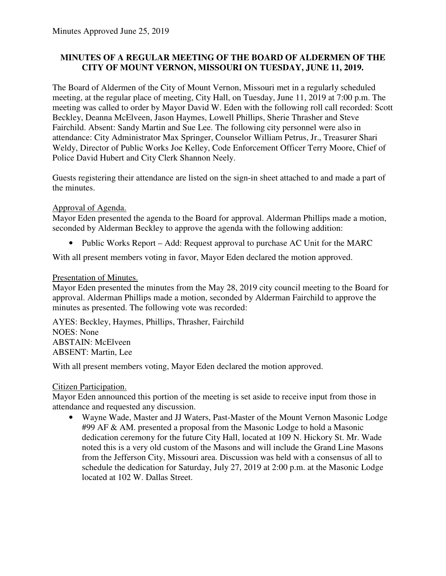# **MINUTES OF A REGULAR MEETING OF THE BOARD OF ALDERMEN OF THE CITY OF MOUNT VERNON, MISSOURI ON TUESDAY, JUNE 11, 2019.**

The Board of Aldermen of the City of Mount Vernon, Missouri met in a regularly scheduled meeting, at the regular place of meeting, City Hall, on Tuesday, June 11, 2019 at 7:00 p.m. The meeting was called to order by Mayor David W. Eden with the following roll call recorded: Scott Beckley, Deanna McElveen, Jason Haymes, Lowell Phillips, Sherie Thrasher and Steve Fairchild. Absent: Sandy Martin and Sue Lee. The following city personnel were also in attendance: City Administrator Max Springer, Counselor William Petrus, Jr., Treasurer Shari Weldy, Director of Public Works Joe Kelley, Code Enforcement Officer Terry Moore, Chief of Police David Hubert and City Clerk Shannon Neely.

Guests registering their attendance are listed on the sign-in sheet attached to and made a part of the minutes.

### Approval of Agenda.

Mayor Eden presented the agenda to the Board for approval. Alderman Phillips made a motion, seconded by Alderman Beckley to approve the agenda with the following addition:

• Public Works Report – Add: Request approval to purchase AC Unit for the MARC

With all present members voting in favor, Mayor Eden declared the motion approved.

# Presentation of Minutes.

Mayor Eden presented the minutes from the May 28, 2019 city council meeting to the Board for approval. Alderman Phillips made a motion, seconded by Alderman Fairchild to approve the minutes as presented. The following vote was recorded:

AYES: Beckley, Haymes, Phillips, Thrasher, Fairchild NOES: None ABSTAIN: McElveen ABSENT: Martin, Lee

With all present members voting, Mayor Eden declared the motion approved.

### Citizen Participation.

Mayor Eden announced this portion of the meeting is set aside to receive input from those in attendance and requested any discussion.

• Wayne Wade, Master and JJ Waters, Past-Master of the Mount Vernon Masonic Lodge #99 AF & AM. presented a proposal from the Masonic Lodge to hold a Masonic dedication ceremony for the future City Hall, located at 109 N. Hickory St. Mr. Wade noted this is a very old custom of the Masons and will include the Grand Line Masons from the Jefferson City, Missouri area. Discussion was held with a consensus of all to schedule the dedication for Saturday, July 27, 2019 at 2:00 p.m. at the Masonic Lodge located at 102 W. Dallas Street.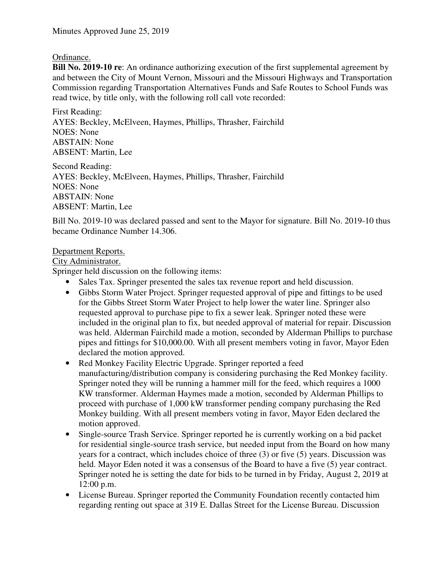## Ordinance.

**Bill No. 2019-10 re**: An ordinance authorizing execution of the first supplemental agreement by and between the City of Mount Vernon, Missouri and the Missouri Highways and Transportation Commission regarding Transportation Alternatives Funds and Safe Routes to School Funds was read twice, by title only, with the following roll call vote recorded:

First Reading: AYES: Beckley, McElveen, Haymes, Phillips, Thrasher, Fairchild NOES: None ABSTAIN: None ABSENT: Martin, Lee

Second Reading: AYES: Beckley, McElveen, Haymes, Phillips, Thrasher, Fairchild NOES: None ABSTAIN: None ABSENT: Martin, Lee

Bill No. 2019-10 was declared passed and sent to the Mayor for signature. Bill No. 2019-10 thus became Ordinance Number 14.306.

### Department Reports.

## City Administrator.

Springer held discussion on the following items:

- Sales Tax. Springer presented the sales tax revenue report and held discussion.
- Gibbs Storm Water Project. Springer requested approval of pipe and fittings to be used for the Gibbs Street Storm Water Project to help lower the water line. Springer also requested approval to purchase pipe to fix a sewer leak. Springer noted these were included in the original plan to fix, but needed approval of material for repair. Discussion was held. Alderman Fairchild made a motion, seconded by Alderman Phillips to purchase pipes and fittings for \$10,000.00. With all present members voting in favor, Mayor Eden declared the motion approved.
- Red Monkey Facility Electric Upgrade. Springer reported a feed manufacturing/distribution company is considering purchasing the Red Monkey facility. Springer noted they will be running a hammer mill for the feed, which requires a 1000 KW transformer. Alderman Haymes made a motion, seconded by Alderman Phillips to proceed with purchase of 1,000 kW transformer pending company purchasing the Red Monkey building. With all present members voting in favor, Mayor Eden declared the motion approved.
- Single-source Trash Service. Springer reported he is currently working on a bid packet for residential single-source trash service, but needed input from the Board on how many years for a contract, which includes choice of three (3) or five (5) years. Discussion was held. Mayor Eden noted it was a consensus of the Board to have a five (5) year contract. Springer noted he is setting the date for bids to be turned in by Friday, August 2, 2019 at 12:00 p.m.
- License Bureau. Springer reported the Community Foundation recently contacted him regarding renting out space at 319 E. Dallas Street for the License Bureau. Discussion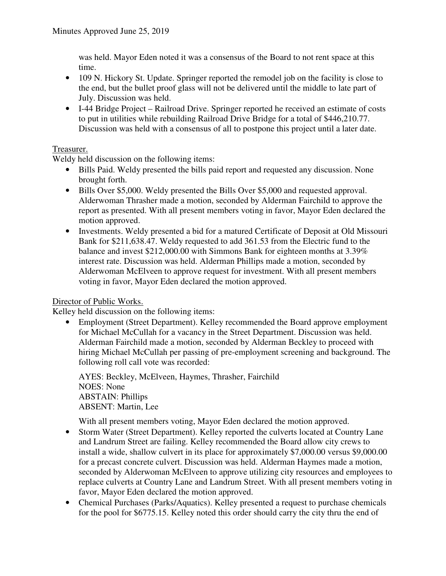was held. Mayor Eden noted it was a consensus of the Board to not rent space at this time.

- 109 N. Hickory St. Update. Springer reported the remodel job on the facility is close to the end, but the bullet proof glass will not be delivered until the middle to late part of July. Discussion was held.
- I-44 Bridge Project Railroad Drive. Springer reported he received an estimate of costs to put in utilities while rebuilding Railroad Drive Bridge for a total of \$446,210.77. Discussion was held with a consensus of all to postpone this project until a later date.

# Treasurer.

Weldy held discussion on the following items:

- Bills Paid. Weldy presented the bills paid report and requested any discussion. None brought forth.
- Bills Over \$5,000. Weldy presented the Bills Over \$5,000 and requested approval. Alderwoman Thrasher made a motion, seconded by Alderman Fairchild to approve the report as presented. With all present members voting in favor, Mayor Eden declared the motion approved.
- Investments. Weldy presented a bid for a matured Certificate of Deposit at Old Missouri Bank for \$211,638.47. Weldy requested to add 361.53 from the Electric fund to the balance and invest \$212,000.00 with Simmons Bank for eighteen months at 3.39% interest rate. Discussion was held. Alderman Phillips made a motion, seconded by Alderwoman McElveen to approve request for investment. With all present members voting in favor, Mayor Eden declared the motion approved.

### Director of Public Works.

Kelley held discussion on the following items:

• Employment (Street Department). Kelley recommended the Board approve employment for Michael McCullah for a vacancy in the Street Department. Discussion was held. Alderman Fairchild made a motion, seconded by Alderman Beckley to proceed with hiring Michael McCullah per passing of pre-employment screening and background. The following roll call vote was recorded:

AYES: Beckley, McElveen, Haymes, Thrasher, Fairchild NOES: None ABSTAIN: Phillips ABSENT: Martin, Lee

With all present members voting, Mayor Eden declared the motion approved.

- Storm Water (Street Department). Kelley reported the culverts located at Country Lane and Landrum Street are failing. Kelley recommended the Board allow city crews to install a wide, shallow culvert in its place for approximately \$7,000.00 versus \$9,000.00 for a precast concrete culvert. Discussion was held. Alderman Haymes made a motion, seconded by Alderwoman McElveen to approve utilizing city resources and employees to replace culverts at Country Lane and Landrum Street. With all present members voting in favor, Mayor Eden declared the motion approved.
- Chemical Purchases (Parks/Aquatics). Kelley presented a request to purchase chemicals for the pool for \$6775.15. Kelley noted this order should carry the city thru the end of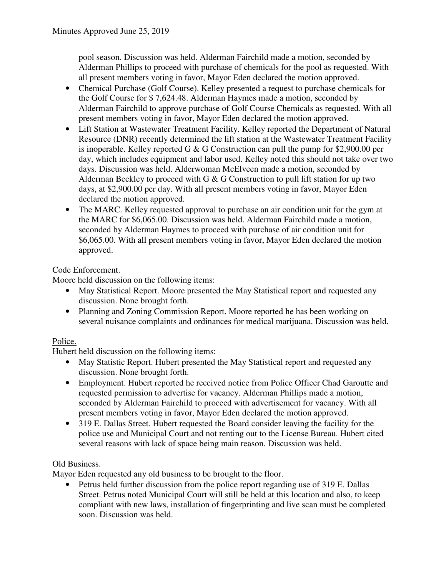pool season. Discussion was held. Alderman Fairchild made a motion, seconded by Alderman Phillips to proceed with purchase of chemicals for the pool as requested. With all present members voting in favor, Mayor Eden declared the motion approved.

- Chemical Purchase (Golf Course). Kelley presented a request to purchase chemicals for the Golf Course for \$ 7,624.48. Alderman Haymes made a motion, seconded by Alderman Fairchild to approve purchase of Golf Course Chemicals as requested. With all present members voting in favor, Mayor Eden declared the motion approved.
- Lift Station at Wastewater Treatment Facility. Kelley reported the Department of Natural Resource (DNR) recently determined the lift station at the Wastewater Treatment Facility is inoperable. Kelley reported G  $\&$  G Construction can pull the pump for \$2,900.00 per day, which includes equipment and labor used. Kelley noted this should not take over two days. Discussion was held. Alderwoman McElveen made a motion, seconded by Alderman Beckley to proceed with  $G \& G$  Construction to pull lift station for up two days, at \$2,900.00 per day. With all present members voting in favor, Mayor Eden declared the motion approved.
- The MARC. Kelley requested approval to purchase an air condition unit for the gym at the MARC for \$6,065.00. Discussion was held. Alderman Fairchild made a motion, seconded by Alderman Haymes to proceed with purchase of air condition unit for \$6,065.00. With all present members voting in favor, Mayor Eden declared the motion approved.

# Code Enforcement.

Moore held discussion on the following items:

- May Statistical Report. Moore presented the May Statistical report and requested any discussion. None brought forth.
- Planning and Zoning Commission Report. Moore reported he has been working on several nuisance complaints and ordinances for medical marijuana. Discussion was held.

# Police.

Hubert held discussion on the following items:

- May Statistic Report. Hubert presented the May Statistical report and requested any discussion. None brought forth.
- Employment. Hubert reported he received notice from Police Officer Chad Garoutte and requested permission to advertise for vacancy. Alderman Phillips made a motion, seconded by Alderman Fairchild to proceed with advertisement for vacancy. With all present members voting in favor, Mayor Eden declared the motion approved.
- 319 E. Dallas Street. Hubert requested the Board consider leaving the facility for the police use and Municipal Court and not renting out to the License Bureau. Hubert cited several reasons with lack of space being main reason. Discussion was held.

# Old Business.

Mayor Eden requested any old business to be brought to the floor.

• Petrus held further discussion from the police report regarding use of 319 E. Dallas Street. Petrus noted Municipal Court will still be held at this location and also, to keep compliant with new laws, installation of fingerprinting and live scan must be completed soon. Discussion was held.